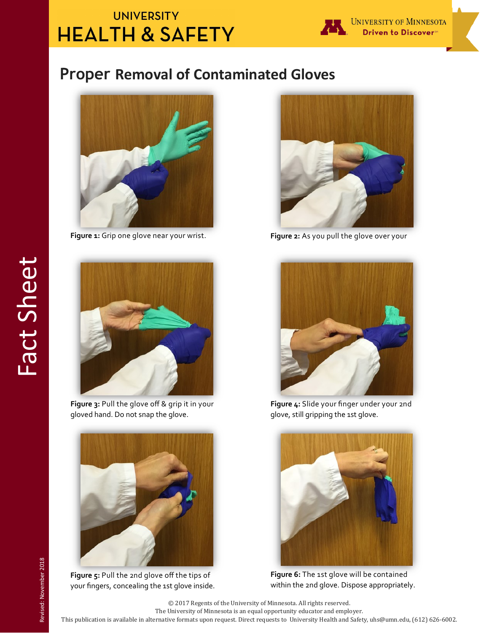## **UNIVERSITY HEALTH & SAFETY**



## **Proper Removal of Contaminated Gloves**



**Figure 1:** Grip one glove near your wrist.



**Figure 3:** Pull the glove off & grip it in your gloved hand. Do not snap the glove.



**Figure 5:** Pull the 2nd glove off the tips of your fingers, concealing the 1st glove inside.



**Figure 2:** As you pull the glove over your



**Figure 4:** Slide your finger under your 2nd glove, still gripping the 1st glove.



**Figure 6:** The 1st glove will be contained within the 2nd glove. Dispose appropriately.

Fact Sheet

The University of Minnesota is an equal opportunity educator and employer.

This publication is available in alternative formats upon request. Direct requests to University Health and Safety, uhs@umn.edu, (612) 626-6002.